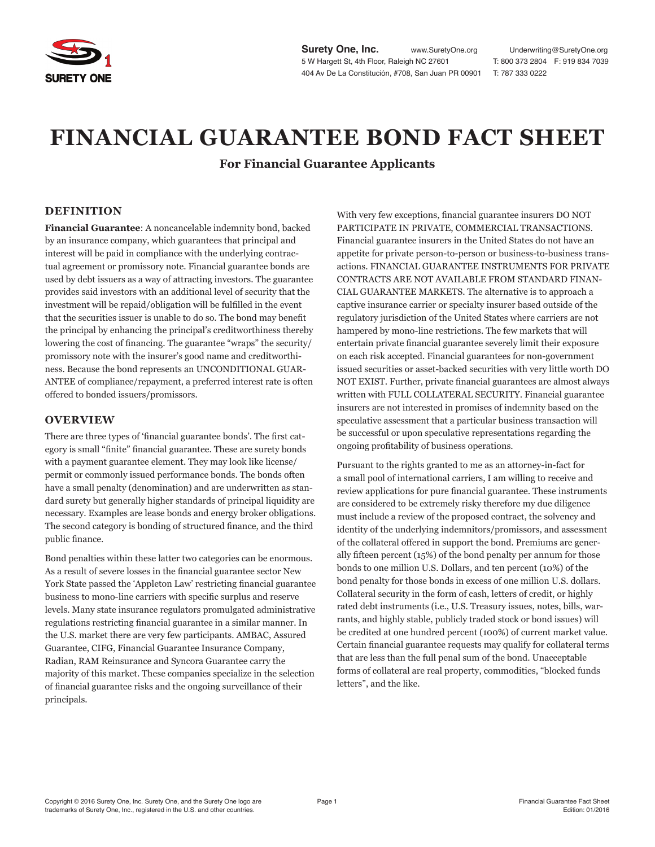

**Surety One, Inc.** www.SuretyOne.org Underwriting@SuretyOne.org 5 W Hargett St, 4th Floor, Raleigh NC 27601 T: 800 373 2804 F: 919 834 7039 404 Av De La Constitución, #708, San Juan PR 00901 T: 787 333 0222

# **FINANCIAL GUARANTEE BOND FACT SHEET**

**For Financial Guarantee Applicants**

## **DEFINITION**

**Financial Guarantee**: A noncancelable indemnity bond, backed by an insurance company, which guarantees that principal and interest will be paid in compliance with the underlying contractual agreement or promissory note. Financial guarantee bonds are used by debt issuers as a way of attracting investors. The guarantee provides said investors with an additional level of security that the investment will be repaid/obligation will be fulfilled in the event that the securities issuer is unable to do so. The bond may benefit the principal by enhancing the principal's creditworthiness thereby lowering the cost of financing. The guarantee "wraps" the security/ promissory note with the insurer's good name and creditworthiness. Because the bond represents an UNCONDITIONAL GUAR-ANTEE of compliance/repayment, a preferred interest rate is often offered to bonded issuers/promissors.

#### **OVERVIEW**

There are three types of 'financial guarantee bonds'. The first category is small "finite" financial guarantee. These are surety bonds with a payment guarantee element. They may look like license/ permit or commonly issued performance bonds. The bonds often have a small penalty (denomination) and are underwritten as standard surety but generally higher standards of principal liquidity are necessary. Examples are lease bonds and energy broker obligations. The second category is bonding of structured finance, and the third public finance.

Bond penalties within these latter two categories can be enormous. As a result of severe losses in the financial guarantee sector New York State passed the 'Appleton Law' restricting financial guarantee business to mono-line carriers with specific surplus and reserve levels. Many state insurance regulators promulgated administrative regulations restricting financial guarantee in a similar manner. In the U.S. market there are very few participants. AMBAC, Assured Guarantee, CIFG, Financial Guarantee Insurance Company, Radian, RAM Reinsurance and Syncora Guarantee carry the majority of this market. These companies specialize in the selection of financial guarantee risks and the ongoing surveillance of their principals.

With very few exceptions, financial guarantee insurers DO NOT PARTICIPATE IN PRIVATE, COMMERCIAL TRANSACTIONS. Financial guarantee insurers in the United States do not have an appetite for private person-to-person or business-to-business transactions. FINANCIAL GUARANTEE INSTRUMENTS FOR PRIVATE CONTRACTS ARE NOT AVAILABLE FROM STANDARD FINAN-CIAL GUARANTEE MARKETS. The alternative is to approach a captive insurance carrier or specialty insurer based outside of the regulatory jurisdiction of the United States where carriers are not hampered by mono-line restrictions. The few markets that will entertain private financial guarantee severely limit their exposure on each risk accepted. Financial guarantees for non-government issued securities or asset-backed securities with very little worth DO NOT EXIST. Further, private financial guarantees are almost always written with FULL COLLATERAL SECURITY. Financial guarantee insurers are not interested in promises of indemnity based on the speculative assessment that a particular business transaction will be successful or upon speculative representations regarding the ongoing profitability of business operations.

Pursuant to the rights granted to me as an attorney-in-fact for a small pool of international carriers, I am willing to receive and review applications for pure financial guarantee. These instruments are considered to be extremely risky therefore my due diligence must include a review of the proposed contract, the solvency and identity of the underlying indemnitors/promissors, and assessment of the collateral offered in support the bond. Premiums are generally fifteen percent (15%) of the bond penalty per annum for those bonds to one million U.S. Dollars, and ten percent (10%) of the bond penalty for those bonds in excess of one million U.S. dollars. Collateral security in the form of cash, letters of credit, or highly rated debt instruments (i.e., U.S. Treasury issues, notes, bills, warrants, and highly stable, publicly traded stock or bond issues) will be credited at one hundred percent (100%) of current market value. Certain financial guarantee requests may qualify for collateral terms that are less than the full penal sum of the bond. Unacceptable forms of collateral are real property, commodities, "blocked funds letters", and the like.